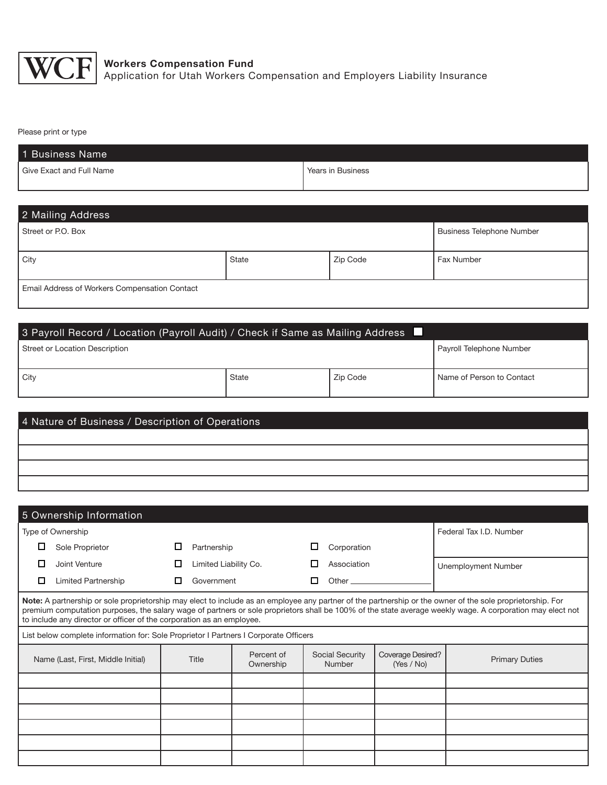

## Please print or type

| 1 Business Name          |                   |
|--------------------------|-------------------|
| Give Exact and Full Name | Years in Business |
|                          |                   |

## 2 Mailing Address

| Street or P.O. Box                                   |       |          |            |  |  |
|------------------------------------------------------|-------|----------|------------|--|--|
| City                                                 | State | Zip Code | Fax Number |  |  |
| <b>Email Address of Workers Compensation Contact</b> |       |          |            |  |  |

| 3 Payroll Record / Location (Payroll Audit) / Check if Same as Mailing Address |       |          |                           |  |  |  |
|--------------------------------------------------------------------------------|-------|----------|---------------------------|--|--|--|
| Street or Location Description<br>Payroll Telephone Number                     |       |          |                           |  |  |  |
| l Citv                                                                         | State | Zip Code | Name of Person to Contact |  |  |  |

| 4 Nature of Business / Description of Operations |  |  |  |  |  |  |
|--------------------------------------------------|--|--|--|--|--|--|
|                                                  |  |  |  |  |  |  |
|                                                  |  |  |  |  |  |  |
|                                                  |  |  |  |  |  |  |
|                                                  |  |  |  |  |  |  |

|                                    | 5 Ownership Information                                                                                                                                                                                                                                                                                                                                                                          |   |                       |                         |   |                           |                                 |                         |                       |
|------------------------------------|--------------------------------------------------------------------------------------------------------------------------------------------------------------------------------------------------------------------------------------------------------------------------------------------------------------------------------------------------------------------------------------------------|---|-----------------------|-------------------------|---|---------------------------|---------------------------------|-------------------------|-----------------------|
|                                    | Type of Ownership                                                                                                                                                                                                                                                                                                                                                                                |   |                       |                         |   |                           |                                 | Federal Tax I.D. Number |                       |
| □                                  | Sole Proprietor                                                                                                                                                                                                                                                                                                                                                                                  |   | Partnership           |                         |   | Corporation               |                                 |                         |                       |
| п                                  | Joint Venture                                                                                                                                                                                                                                                                                                                                                                                    |   | Limited Liability Co. |                         | □ | Association               |                                 |                         | Unemployment Number   |
| □                                  | <b>Limited Partnership</b>                                                                                                                                                                                                                                                                                                                                                                       | □ | Government            |                         | п | Other.                    |                                 |                         |                       |
|                                    | Note: A partnership or sole proprietorship may elect to include as an employee any partner of the partnership or the owner of the sole proprietorship. For<br>premium computation purposes, the salary wage of partners or sole proprietors shall be 100% of the state average weekly wage. A corporation may elect not<br>to include any director or officer of the corporation as an employee. |   |                       |                         |   |                           |                                 |                         |                       |
|                                    | List below complete information for: Sole Proprietor I Partners I Corporate Officers                                                                                                                                                                                                                                                                                                             |   |                       |                         |   |                           |                                 |                         |                       |
| Name (Last, First, Middle Initial) |                                                                                                                                                                                                                                                                                                                                                                                                  |   | Title                 | Percent of<br>Ownership |   | Social Security<br>Number | Coverage Desired?<br>(Yes / No) |                         | <b>Primary Duties</b> |
|                                    |                                                                                                                                                                                                                                                                                                                                                                                                  |   |                       |                         |   |                           |                                 |                         |                       |
|                                    |                                                                                                                                                                                                                                                                                                                                                                                                  |   |                       |                         |   |                           |                                 |                         |                       |
|                                    |                                                                                                                                                                                                                                                                                                                                                                                                  |   |                       |                         |   |                           |                                 |                         |                       |
|                                    |                                                                                                                                                                                                                                                                                                                                                                                                  |   |                       |                         |   |                           |                                 |                         |                       |
|                                    |                                                                                                                                                                                                                                                                                                                                                                                                  |   |                       |                         |   |                           |                                 |                         |                       |
|                                    |                                                                                                                                                                                                                                                                                                                                                                                                  |   |                       |                         |   |                           |                                 |                         |                       |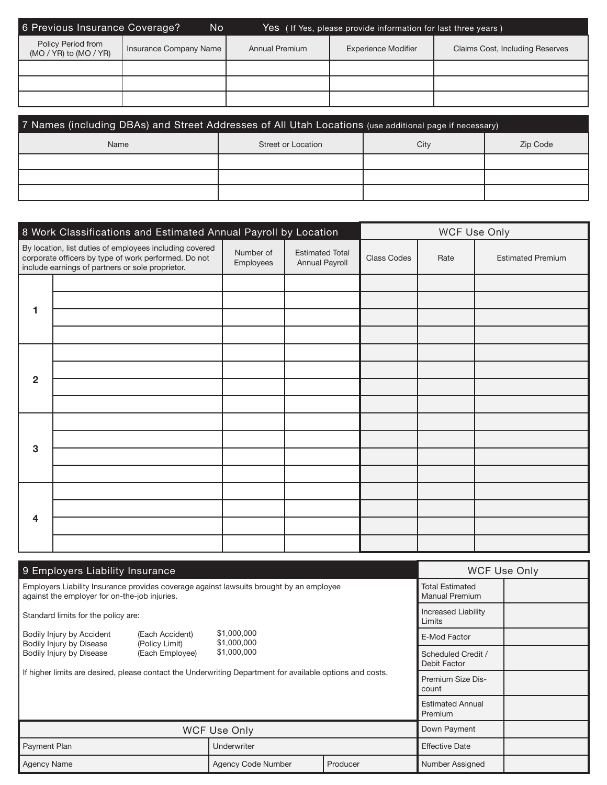| 6 Previous Insurance Coverage?                   | No                     |                | Yes (If Yes, please provide information for last three years) |                                        |
|--------------------------------------------------|------------------------|----------------|---------------------------------------------------------------|----------------------------------------|
| Policy Period from<br>$(MO / YR)$ to $(MO / YR)$ | Insurance Company Name | Annual Premium | <b>Experience Modifier</b>                                    | <b>Claims Cost, Including Reserves</b> |
|                                                  |                        |                |                                                               |                                        |
|                                                  |                        |                |                                                               |                                        |
|                                                  |                        |                |                                                               |                                        |

| 7 Names (including DBAs) and Street Addresses of All Utah Locations (use additional page if necessary) |                    |      |          |  |  |  |  |
|--------------------------------------------------------------------------------------------------------|--------------------|------|----------|--|--|--|--|
| Name                                                                                                   | Street or Location | City | Zip Code |  |  |  |  |
|                                                                                                        |                    |      |          |  |  |  |  |
|                                                                                                        |                    |      |          |  |  |  |  |
|                                                                                                        |                    |      |          |  |  |  |  |

|                | 8 Work Classifications and Estimated Annual Payroll by Location                                                                                                     |                        |                                          | WCF Use Only |      |                          |
|----------------|---------------------------------------------------------------------------------------------------------------------------------------------------------------------|------------------------|------------------------------------------|--------------|------|--------------------------|
|                | By location, list duties of employees including covered<br>corporate officers by type of work performed. Do not<br>include earnings of partners or sole proprietor. | Number of<br>Employees | <b>Estimated Total</b><br>Annual Payroll | Class Codes  | Rate | <b>Estimated Premium</b> |
|                |                                                                                                                                                                     |                        |                                          |              |      |                          |
| 1              |                                                                                                                                                                     |                        |                                          |              |      |                          |
|                |                                                                                                                                                                     |                        |                                          |              |      |                          |
|                |                                                                                                                                                                     |                        |                                          |              |      |                          |
|                |                                                                                                                                                                     |                        |                                          |              |      |                          |
|                |                                                                                                                                                                     |                        |                                          |              |      |                          |
| $\overline{2}$ |                                                                                                                                                                     |                        |                                          |              |      |                          |
|                |                                                                                                                                                                     |                        |                                          |              |      |                          |
|                |                                                                                                                                                                     |                        |                                          |              |      |                          |
|                |                                                                                                                                                                     |                        |                                          |              |      |                          |
| 3              |                                                                                                                                                                     |                        |                                          |              |      |                          |
|                |                                                                                                                                                                     |                        |                                          |              |      |                          |
|                |                                                                                                                                                                     |                        |                                          |              |      |                          |
|                |                                                                                                                                                                     |                        |                                          |              |      |                          |
| 4              |                                                                                                                                                                     |                        |                                          |              |      |                          |
|                |                                                                                                                                                                     |                        |                                          |              |      |                          |

| 9 Employers Liability Insurance                                                                                                          | <b>WCF Use Only</b>                                                          |                                    |          |                       |  |  |
|------------------------------------------------------------------------------------------------------------------------------------------|------------------------------------------------------------------------------|------------------------------------|----------|-----------------------|--|--|
| Employers Liability Insurance provides coverage against lawsuits brought by an employee<br>against the employer for on-the-job injuries. | <b>Total Estimated</b><br><b>Manual Premium</b>                              |                                    |          |                       |  |  |
| Standard limits for the policy are:                                                                                                      | <b>Increased Liability</b><br>Limits                                         |                                    |          |                       |  |  |
| Bodily Injury by Accident<br>(Each Accident)                                                                                             |                                                                              | \$1,000,000<br>\$1,000,000         |          | E-Mod Factor          |  |  |
| Bodily Injury by Disease                                                                                                                 | Bodily Injury by Disease<br>(Policy Limit)<br>\$1,000,000<br>(Each Employee) |                                    |          |                       |  |  |
| If higher limits are desired, please contact the Underwriting Department for available options and costs.                                | Premium Size Dis-<br>count                                                   |                                    |          |                       |  |  |
|                                                                                                                                          |                                                                              | <b>Estimated Annual</b><br>Premium |          |                       |  |  |
|                                                                                                                                          |                                                                              | Down Payment                       |          |                       |  |  |
| Payment Plan                                                                                                                             |                                                                              | Underwriter                        |          | <b>Effective Date</b> |  |  |
| Agency Name                                                                                                                              |                                                                              | <b>Agency Code Number</b>          | Producer | Number Assigned       |  |  |